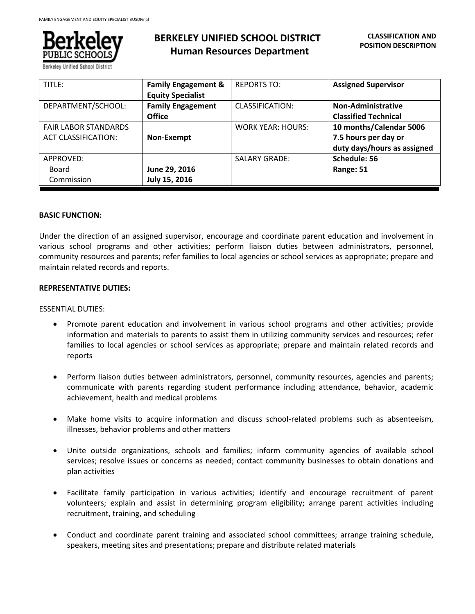

Berkelev Unified School Di

# **BERKELEY UNIFIED SCHOOL DISTRICT Human Resources Department**

| TITLE:                      | <b>Family Engagement &amp;</b> | <b>REPORTS TO:</b>       | <b>Assigned Supervisor</b>  |
|-----------------------------|--------------------------------|--------------------------|-----------------------------|
|                             | <b>Equity Specialist</b>       |                          |                             |
| DEPARTMENT/SCHOOL:          | <b>Family Engagement</b>       | CLASSIFICATION:          | <b>Non-Administrative</b>   |
|                             | <b>Office</b>                  |                          | <b>Classified Technical</b> |
| <b>FAIR LABOR STANDARDS</b> |                                | <b>WORK YEAR: HOURS:</b> | 10 months/Calendar 5006     |
| <b>ACT CLASSIFICATION:</b>  | Non-Exempt                     |                          | 7.5 hours per day or        |
|                             |                                |                          | duty days/hours as assigned |
| APPROVED:                   |                                | <b>SALARY GRADE:</b>     | Schedule: 56                |
| Board                       | June 29, 2016                  |                          | Range: 51                   |
| Commission                  | July 15, 2016                  |                          |                             |

### **BASIC FUNCTION:**

Under the direction of an assigned supervisor, encourage and coordinate parent education and involvement in various school programs and other activities; perform liaison duties between administrators, personnel, community resources and parents; refer families to local agencies or school services as appropriate; prepare and maintain related records and reports.

### **REPRESENTATIVE DUTIES:**

#### ESSENTIAL DUTIES:

- Promote parent education and involvement in various school programs and other activities; provide information and materials to parents to assist them in utilizing community services and resources; refer families to local agencies or school services as appropriate; prepare and maintain related records and reports
- Perform liaison duties between administrators, personnel, community resources, agencies and parents; communicate with parents regarding student performance including attendance, behavior, academic achievement, health and medical problems
- Make home visits to acquire information and discuss school-related problems such as absenteeism, illnesses, behavior problems and other matters
- Unite outside organizations, schools and families; inform community agencies of available school services; resolve issues or concerns as needed; contact community businesses to obtain donations and plan activities
- Facilitate family participation in various activities; identify and encourage recruitment of parent volunteers; explain and assist in determining program eligibility; arrange parent activities including recruitment, training, and scheduling
- Conduct and coordinate parent training and associated school committees; arrange training schedule, speakers, meeting sites and presentations; prepare and distribute related materials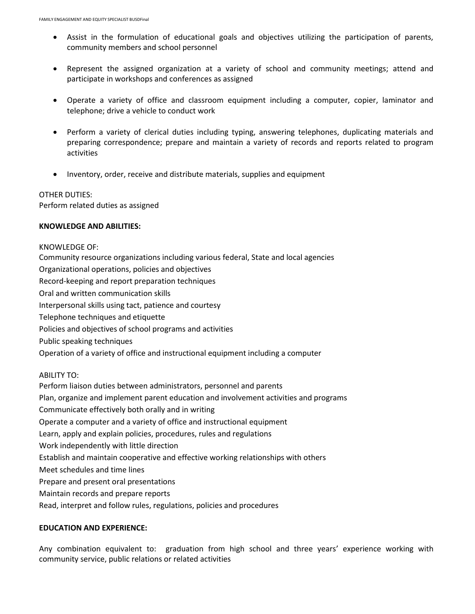- Assist in the formulation of educational goals and objectives utilizing the participation of parents, community members and school personnel
- Represent the assigned organization at a variety of school and community meetings; attend and participate in workshops and conferences as assigned
- Operate a variety of office and classroom equipment including a computer, copier, laminator and telephone; drive a vehicle to conduct work
- Perform a variety of clerical duties including typing, answering telephones, duplicating materials and preparing correspondence; prepare and maintain a variety of records and reports related to program activities
- Inventory, order, receive and distribute materials, supplies and equipment

## OTHER DUTIES: Perform related duties as assigned

# **KNOWLEDGE AND ABILITIES:**

KNOWLEDGE OF: Community resource organizations including various federal, State and local agencies Organizational operations, policies and objectives Record-keeping and report preparation techniques Oral and written communication skills Interpersonal skills using tact, patience and courtesy Telephone techniques and etiquette Policies and objectives of school programs and activities Public speaking techniques Operation of a variety of office and instructional equipment including a computer ABILITY TO: Perform liaison duties between administrators, personnel and parents Plan, organize and implement parent education and involvement activities and programs Communicate effectively both orally and in writing Operate a computer and a variety of office and instructional equipment Learn, apply and explain policies, procedures, rules and regulations Work independently with little direction Establish and maintain cooperative and effective working relationships with others Meet schedules and time lines Prepare and present oral presentations Maintain records and prepare reports Read, interpret and follow rules, regulations, policies and procedures

# **EDUCATION AND EXPERIENCE:**

Any combination equivalent to: graduation from high school and three years' experience working with community service, public relations or related activities